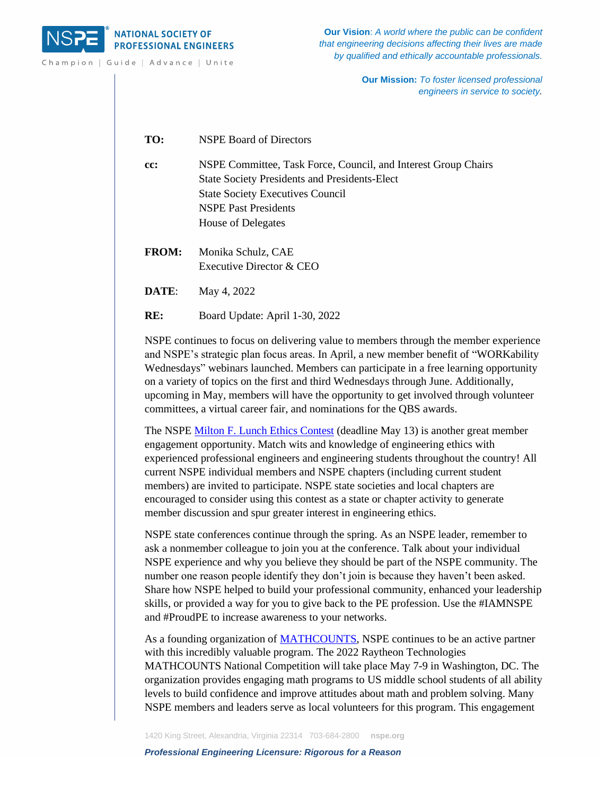

Champion | Guide | Advance | Unite

**Our Vision**: *A world where the public can be confident that engineering decisions affecting their lives are made by qualified and ethically accountable professionals.*

> **Our Mission:** *To foster licensed professional engineers in service to society.*

**TO:** NSPE Board of Directors

**cc:** NSPE Committee, Task Force, Council, and Interest Group Chairs State Society Presidents and Presidents-Elect State Society Executives Council NSPE Past Presidents House of Delegates

**FROM:** Monika Schulz, CAE Executive Director & CEO

**DATE**: May 4, 2022

**RE:** Board Update: April 1-30, 2022

NSPE continues to focus on delivering value to members through the member experience and NSPE's strategic plan focus areas. In April, a new member benefit of "WORKability Wednesdays" webinars launched. Members can participate in a free learning opportunity on a variety of topics on the first and third Wednesdays through June. Additionally, upcoming in May, members will have the opportunity to get involved through volunteer committees, a virtual career fair, and nominations for the QBS awards.

The NSPE Milton F. [Lunch Ethics Contest](https://www.nspe.org/resources/ethics/ethics-resources/milton-f-lunch-ethics-contest) (deadline May 13) is another great member engagement opportunity. Match wits and knowledge of engineering ethics with experienced professional engineers and engineering students throughout the country! All current NSPE individual members and NSPE chapters (including current student members) are invited to participate. NSPE state societies and local chapters are encouraged to consider using this contest as a state or chapter activity to generate member discussion and spur greater interest in engineering ethics.

NSPE state conferences continue through the spring. As an NSPE leader, remember to ask a nonmember colleague to join you at the conference. Talk about your individual NSPE experience and why you believe they should be part of the NSPE community. The number one reason people identify they don't join is because they haven't been asked. Share how NSPE helped to build your professional community, enhanced your leadership skills, or provided a way for you to give back to the PE profession. Use the #IAMNSPE and #ProudPE to increase awareness to your networks.

As a founding organization of [MATHCOUNTS,](https://www.mathcounts.org/) NSPE continues to be an active partner with this incredibly valuable program. The 2022 Raytheon Technologies MATHCOUNTS National Competition will take place May 7-9 in Washington, DC. The organization provides engaging math programs to US middle school students of all ability levels to build confidence and improve attitudes about math and problem solving. Many NSPE members and leaders serve as local volunteers for this program. This engagement

1420 King Street, Alexandria, Virginia 22314 703-684-2800 **nspe.org**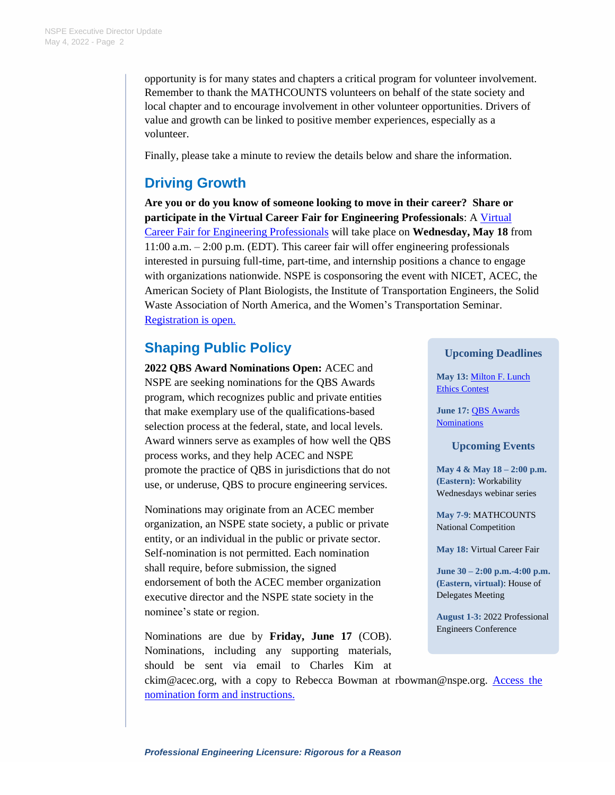opportunity is for many states and chapters a critical program for volunteer involvement. Remember to thank the MATHCOUNTS volunteers on behalf of the state society and local chapter and to encourage involvement in other volunteer opportunities. Drivers of value and growth can be linked to positive member experiences, especially as a volunteer.

Finally, please take a minute to review the details below and share the information.

# **Driving Growth**

**Are you or do you know of someone looking to move in their career? Share or participate in the Virtual Career Fair for Engineering Professionals**: A [Virtual](https://www.careereco.com/Fair/EventDetails?fairId=c43e0bb9-bf8e-4680-9c72-ae4401703b12)  [Career Fair for Engineering Professionals](https://www.careereco.com/Fair/EventDetails?fairId=c43e0bb9-bf8e-4680-9c72-ae4401703b12) will take place on **Wednesday, May 18** from 11:00 a.m. – 2:00 p.m. (EDT). This career fair will offer engineering professionals interested in pursuing full-time, part-time, and internship positions a chance to engage with organizations nationwide. NSPE is cosponsoring the event with NICET, ACEC, the American Society of Plant Biologists, the Institute of Transportation Engineers, the Solid Waste Association of North America, and the Women's Transportation Seminar. [Registration is open.](https://www.careereco.com/User/LogIn?ReturnUrl=%2fUser%2fFairRegistration%3ffairId%3dc43e0bb9-bf8e-4680-9c72-ae4401703b12&fairId=c43e0bb9-bf8e-4680-9c72-ae4401703b12)

# **Shaping Public Policy**

**2022 QBS Award Nominations Open:** ACEC and NSPE are seeking nominations for the QBS Awards program, which recognizes public and private entities that make exemplary use of the qualifications-based selection process at the federal, state, and local levels. Award winners serve as examples of how well the QBS process works, and they help ACEC and NSPE promote the practice of QBS in jurisdictions that do not use, or underuse, QBS to procure engineering services.

Nominations may originate from an ACEC member organization, an NSPE state society, a public or private entity, or an individual in the public or private sector. Self-nomination is not permitted. Each nomination shall require, before submission, the signed endorsement of both the ACEC member organization executive director and the NSPE state society in the nominee's state or region.

Nominations are due by **Friday, June 17** (COB). Nominations, including any supporting materials, should be sent via email to Charles Kim at

**Upcoming Deadlines**

**May 13:** [Milton F. Lunch](https://www.nspe.org/resources/ethics/ethics-resources/milton-f-lunch-ethics-contest)  [Ethics Contest](https://www.nspe.org/resources/ethics/ethics-resources/milton-f-lunch-ethics-contest)

**June 17:** [QBS Awards](https://www.nspe.org/membership/about-nspe/awards/qbs-award)  [Nominations](https://www.nspe.org/membership/about-nspe/awards/qbs-award)

#### **Upcoming Events**

**May 4 & May 18 – 2:00 p.m. (Eastern):** Workability Wednesdays webinar series

**May 7-9**: MATHCOUNTS National Competition

**May 18:** Virtual Career Fair

**June 30 – 2:00 p.m.-4:00 p.m. (Eastern, virtual)**: House of Delegates Meeting

**August 1-3:** 2022 Professional Engineers Conference

ckim@acec.org, with a copy to Rebecca Bowman at rbowman@nspe.org. [Access the](https://www.nspe.org/membership/about-nspe/awards/qbs-award)  [nomination form and instructions.](https://www.nspe.org/membership/about-nspe/awards/qbs-award)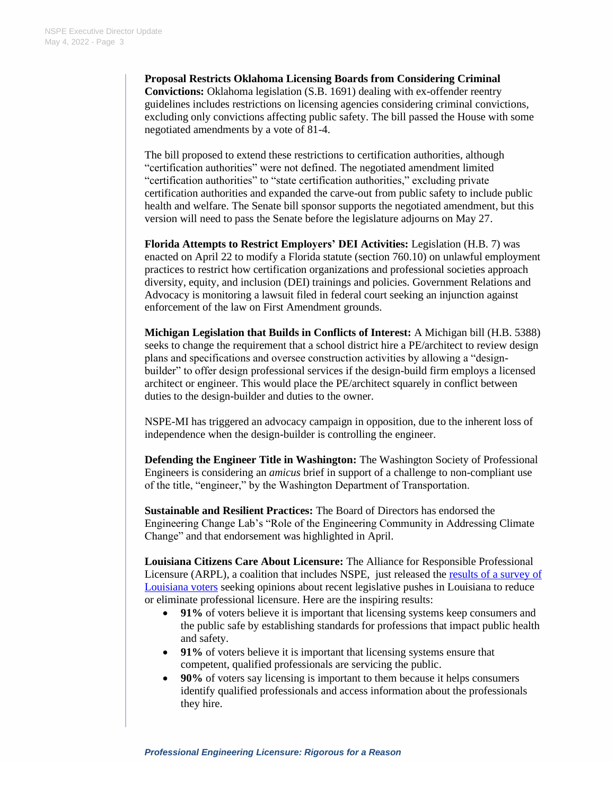**Proposal Restricts Oklahoma Licensing Boards from Considering Criminal Convictions:** Oklahoma legislation (S.B. 1691) dealing with ex-offender reentry guidelines includes restrictions on licensing agencies considering criminal convictions, excluding only convictions affecting public safety. The bill passed the House with some negotiated amendments by a vote of 81-4.

The bill proposed to extend these restrictions to certification authorities, although "certification authorities" were not defined. The negotiated amendment limited "certification authorities" to "state certification authorities," excluding private certification authorities and expanded the carve-out from public safety to include public health and welfare. The Senate bill sponsor supports the negotiated amendment, but this version will need to pass the Senate before the legislature adjourns on May 27.

**Florida Attempts to Restrict Employers' DEI Activities:** Legislation (H.B. 7) was enacted on April 22 to modify a Florida statute (section 760.10) on unlawful employment practices to restrict how certification organizations and professional societies approach diversity, equity, and inclusion (DEI) trainings and policies. Government Relations and Advocacy is monitoring a lawsuit filed in federal court seeking an injunction against enforcement of the law on First Amendment grounds.

**Michigan Legislation that Builds in Conflicts of Interest:** A Michigan bill (H.B. 5388) seeks to change the requirement that a school district hire a PE/architect to review design plans and specifications and oversee construction activities by allowing a "designbuilder" to offer design professional services if the design-build firm employs a licensed architect or engineer. This would place the PE/architect squarely in conflict between duties to the design-builder and duties to the owner.

NSPE-MI has triggered an advocacy campaign in opposition, due to the inherent loss of independence when the design-builder is controlling the engineer.

**Defending the Engineer Title in Washington:** The Washington Society of Professional Engineers is considering an *amicus* brief in support of a challenge to non-compliant use of the title, "engineer," by the Washington Department of Transportation.

**Sustainable and Resilient Practices:** The Board of Directors has endorsed the Engineering Change Lab's "Role of the Engineering Community in Addressing Climate Change" and that endorsement was highlighted in April.

**Louisiana Citizens Care About Licensure:** The Alliance for Responsible Professional Licensure (ARPL), a coalition that includes NSPE, just released the [results of a survey of](http://www.responsiblelicensing.org/louisiana-voters-concerned-about-anti-licensing-effort/)  [Louisiana voters](http://www.responsiblelicensing.org/louisiana-voters-concerned-about-anti-licensing-effort/) seeking opinions about recent legislative pushes in Louisiana to reduce or eliminate professional licensure. Here are the inspiring results:

- **91%** of voters believe it is important that licensing systems keep consumers and the public safe by establishing standards for professions that impact public health and safety.
- **91%** of voters believe it is important that licensing systems ensure that competent, qualified professionals are servicing the public.
- **90%** of voters say licensing is important to them because it helps consumers identify qualified professionals and access information about the professionals they hire.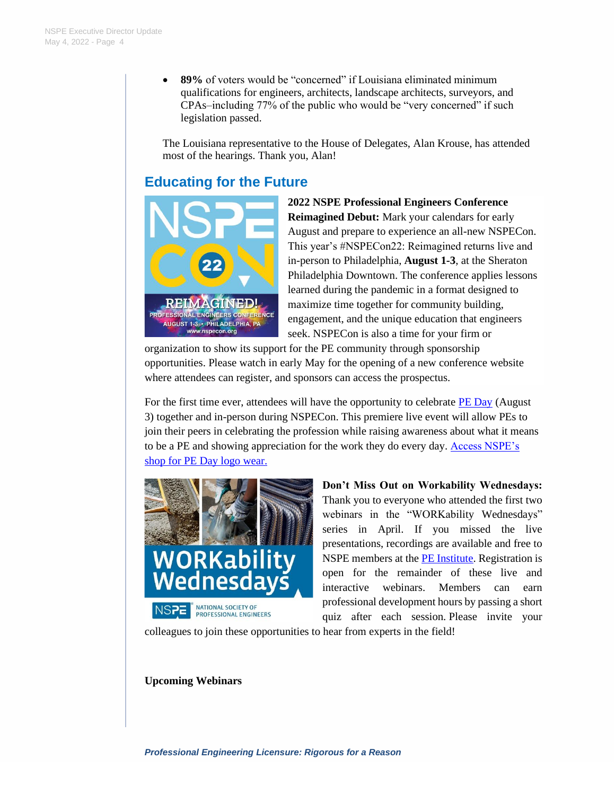• **89%** of voters would be "concerned" if Louisiana eliminated minimum qualifications for engineers, architects, landscape architects, surveyors, and CPAs–including 77% of the public who would be "very concerned" if such legislation passed.

The Louisiana representative to the House of Delegates, Alan Krouse, has attended most of the hearings. Thank you, Alan!

## **Educating for the Future**



**2022 NSPE Professional Engineers Conference Reimagined Debut:** Mark your calendars for early August and prepare to experience an all-new NSPECon. This year's #NSPECon22: Reimagined returns live and in-person to Philadelphia, **August 1-3**, at the Sheraton Philadelphia Downtown. The conference applies lessons learned during the pandemic in a format designed to maximize time together for community building, engagement, and the unique education that engineers seek. NSPECon is also a time for your firm or

organization to show its support for the PE community through sponsorship opportunities. Please watch in early May for the opening of a new conference website where attendees can register, and sponsors can access the prospectus.

For the first time ever, attendees will have the opportunity to celebrate  $PE$  Day (August 3) together and in-person during NSPECon. This premiere live event will allow PEs to join their peers in celebrating the profession while raising awareness about what it means to be a PE and showing appreciation for the work they do every day. [Access NSPE's](https://nspe.threadless.com/)  [shop for PE Day logo wear.](https://nspe.threadless.com/)



**Don't Miss Out on Workability Wednesdays:** Thank you to everyone who attended the first two webinars in the "WORKability Wednesdays" series in April. If you missed the live presentations, recordings are available and free to NSPE members at the [PE Institute.](https://pdh.nspe.org/) Registration is open for the remainder of these live and interactive webinars. Members can earn professional development hours by passing a short quiz after each session. Please invite your

colleagues to join these opportunities to hear from experts in the field!

#### **Upcoming Webinars**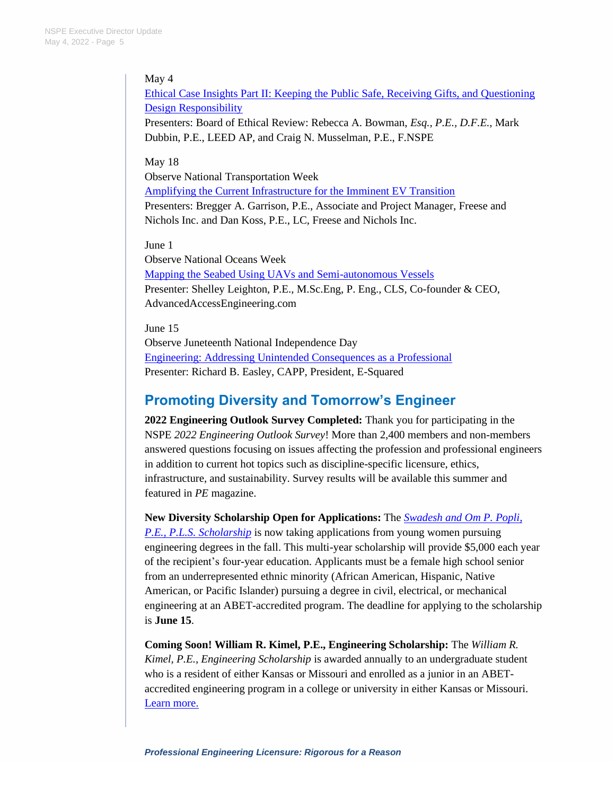### May 4

[Ethical Case Insights Part II: Keeping the Public Safe, Receiving Gifts, and Questioning](https://pdh.nspe.org/products/ethical-case-insights-part-ii-keeping-the-public-safe-receiving-gifts-and-questioning-design-responsibility)  [Design Responsibility](https://pdh.nspe.org/products/ethical-case-insights-part-ii-keeping-the-public-safe-receiving-gifts-and-questioning-design-responsibility)

Presenters: Board of Ethical Review: Rebecca A. Bowman, *Esq., P.E., D.F.E.,* Mark Dubbin, P.E., LEED AP, and Craig N. Musselman, P.E., F.NSPE

#### May 18

Observe National Transportation Week [Amplifying the Current Infrastructure for the Imminent EV Transition](https://pdh.nspe.org/products/amplifying-the-current-infrastructure-for-the-imminent-ev-transition) Presenters: Bregger A. Garrison, P.E., Associate and Project Manager, Freese and Nichols Inc. and Dan Koss, P.E., LC, Freese and Nichols Inc.

June 1

Observe National Oceans Week [Mapping the Seabed Using UAVs and Semi-autonomous Vessels](https://pdh.nspe.org/products/mapping-the-seabed-using-uavs-and-semi-autonomous-vessels) Presenter: Shelley Leighton, P.E., M.Sc.Eng, P. Eng., CLS, Co-founder & CEO, AdvancedAccessEngineering.com

June 15 Observe Juneteenth National Independence Day [Engineering: Addressing Unintended Consequences as a Professional](https://pdh.nspe.org/products/engineering-addressing-unintended-consequences-as-a-professional) Presenter: Richard B. Easley, CAPP, President, E-Squared

### **Promoting Diversity and Tomorrow's Engineer**

**2022 Engineering Outlook Survey Completed:** Thank you for participating in the NSPE *2022 Engineering Outlook Survey*! More than 2,400 members and non-members answered questions focusing on issues affecting the profession and professional engineers in addition to current hot topics such as discipline-specific licensure, ethics, infrastructure, and sustainability. Survey results will be available this summer and featured in *PE* magazine.

**New Diversity Scholarship Open for Applications:** The *[Swadesh and Om P. Popli,](https://www.nspe.org/resources/students/scholarships/swadesh-and-om-p-popli-pe-pls-scholarship)  [P.E., P.L.S. Scholarship](https://www.nspe.org/resources/students/scholarships/swadesh-and-om-p-popli-pe-pls-scholarship)* is now taking applications from young women pursuing engineering degrees in the fall. This multi-year scholarship will provide \$5,000 each year of the recipient's four-year education. Applicants must be a female high school senior from an underrepresented ethnic minority (African American, Hispanic, Native American, or Pacific Islander) pursuing a degree in civil, electrical, or mechanical engineering at an ABET-accredited program. The deadline for applying to the scholarship is **June 15**.

**Coming Soon! William R. Kimel, P.E., Engineering Scholarship:** The *William R. Kimel, P.E., Engineering Scholarship* is awarded annually to an undergraduate student who is a resident of either Kansas or Missouri and enrolled as a junior in an ABETaccredited engineering program in a college or university in either Kansas or Missouri. [Learn more.](https://www.nspe.org/resources/students/scholarships/william-r-kimel-pe-engineering-scholarship-0)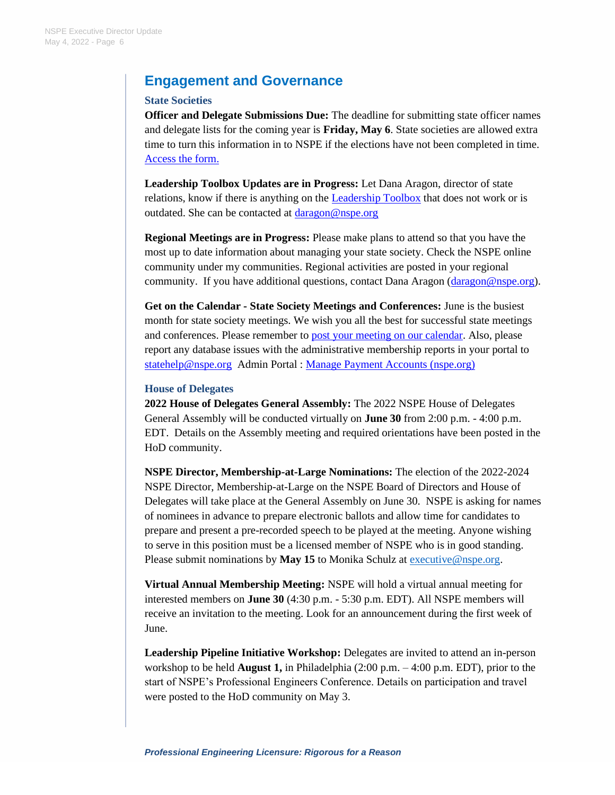## **Engagement and Governance**

#### **State Societies**

**Officer and Delegate Submissions Due:** The deadline for submitting state officer names and delegate lists for the coming year is **Friday, May 6**. State societies are allowed extra time to turn this information in to NSPE if the elections have not been completed in time. [Access the form.](https://forms.office.com/Pages/ResponsePage.aspx?id=r1Nz08jn9UiAh8Fo90xUmBcfEzP2YXJGuEmfvYiEAItUQU8xOFVJM1A4VEYzVks5WU40U1YwSEJLWi4u)

**Leadership Toolbox Updates are in Progress:** Let Dana Aragon, director of state relations, know if there is anything on the **Leadership Toolbox** that does not work or is outdated. She can be contacted at [daragon@nspe.org](mailto:daragon@nspe.org)

**Regional Meetings are in Progress:** Please make plans to attend so that you have the most up to date information about managing your state society. Check the NSPE online community under my communities. Regional activities are posted in your regional community. If you have additional questions, contact Dana Aragon [\(daragon@nspe.org\)](mailto:daragon@nspe.org).

**Get on the Calendar - State Society Meetings and Conferences:** June is the busiest month for state society meetings. We wish you all the best for successful state meetings and conferences. Please remember to [post your meeting on our calendar.](https://www.nspe.org/membership/about-nspe/master-calendar-of-events) Also, please report any database issues with the administrative membership reports in your portal to [statehelp@nspe.org](mailto:statehelp@nspe.org) Admin Portal : [Manage Payment Accounts \(nspe.org\)](https://access.nspe.org/eweb/DynamicPage.aspx?webcode=NSPEStateHome&chp_cst_key=¤tkey=cef254cf-43ec-4472-9279-9924e95afa28)

#### **House of Delegates**

**2022 House of Delegates General Assembly:** The 2022 NSPE House of Delegates General Assembly will be conducted virtually on **June 30** from 2:00 p.m. - 4:00 p.m. EDT. Details on the Assembly meeting and required orientations have been posted in the HoD community.

**NSPE Director, Membership-at-Large Nominations:** The election of the 2022-2024 NSPE Director, Membership-at-Large on the NSPE Board of Directors and House of Delegates will take place at the General Assembly on June 30. NSPE is asking for names of nominees in advance to prepare electronic ballots and allow time for candidates to prepare and present a pre-recorded speech to be played at the meeting. Anyone wishing to serve in this position must be a licensed member of NSPE who is in good standing. Please submit nominations by May 15 to Monika Schulz at [executive@nspe.org.](mailto:executive@nspe.org)

**Virtual Annual Membership Meeting:** NSPE will hold a virtual annual meeting for interested members on **June 30** (4:30 p.m. - 5:30 p.m. EDT). All NSPE members will receive an invitation to the meeting. Look for an announcement during the first week of June.

Leadership Pipeline Initiative Workshop: Delegates are invited to attend an in-person workshop to be held **August 1,** in Philadelphia (2:00 p.m. – 4:00 p.m. EDT), prior to the start of NSPE's Professional Engineers Conference. Details on participation and travel were posted to the HoD community on May 3.